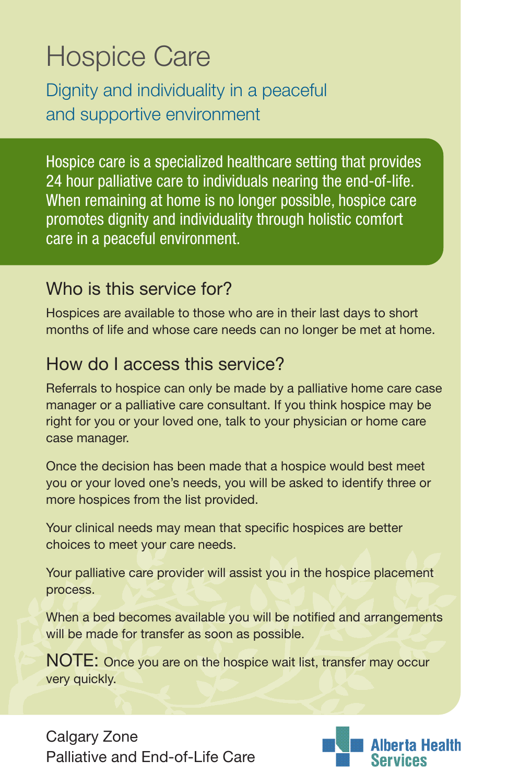# Hospice Care

Dignity and individuality in a peaceful and supportive environment

Hospice care is a specialized healthcare setting that provides 24 hour palliative care to individuals nearing the end-of-life. When remaining at home is no longer possible, hospice care promotes dignity and individuality through holistic comfort care in a peaceful environment.

# Who is this service for?

Hospices are available to those who are in their last days to short months of life and whose care needs can no longer be met at home.

# How do I access this service?

Referrals to hospice can only be made by a palliative home care case manager or a palliative care consultant. If you think hospice may be right for you or your loved one, talk to your physician or home care case manager.

Once the decision has been made that a hospice would best meet you or your loved one's needs, you will be asked to identify three or more hospices from the list provided.

Your clinical needs may mean that specific hospices are better choices to meet your care needs.

Your palliative care provider will assist you in the hospice placement process.

When a bed becomes available you will be notified and arrangements will be made for transfer as soon as possible.

NOTE: Once you are on the hospice wait list, transfer may occur very quickly.

Calgary Zone Palliative and Fnd-of-Life Care

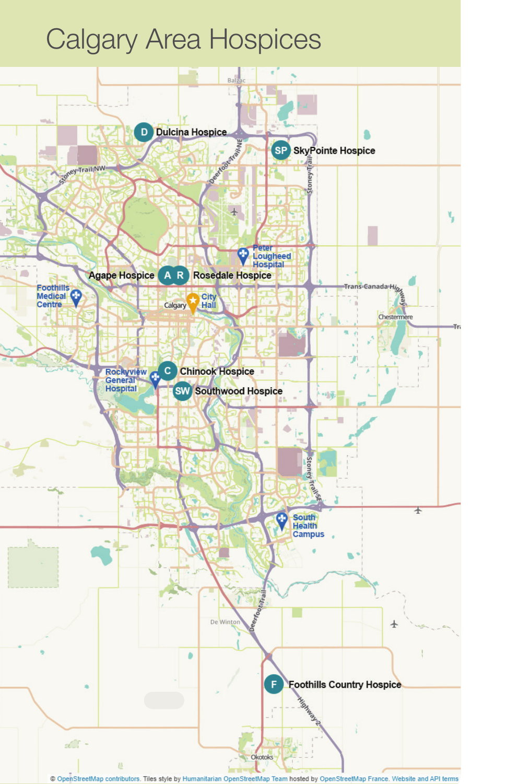# Calgary Area Hospices

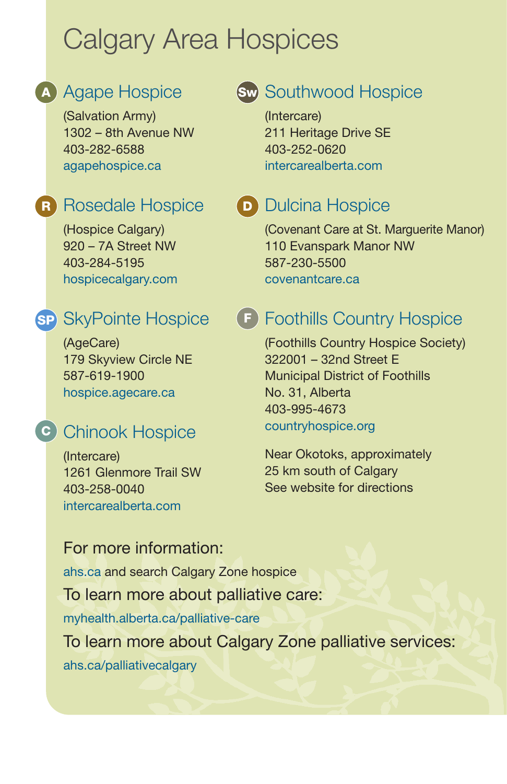# Calgary Area Hospices

# A Agape Hospice

(Salvation Army) 1302 – 8th Avenue NW 403-282-6588 [agapehospice.ca](http://www.agapehospice.ca)

# R Rosedale Hospice

(Hospice Calgary) 920 – 7A Street NW 403-284-5195 [hospicecalgary.com](http://www.hospicecalgary.com)

# sp SkyPointe Hospice

(AgeCare) 179 Skyview Circle NE 587-619-1900 [hospice.agecare.ca](http://hospice.agecare.ca)

## **c** Chinook Hospice

(Intercare) 1261 Glenmore Trail SW 403-258-0040 [intercarealberta.com](http://www.intercarealberta.com)

# sw Southwood Hospice

(Intercare) 211 Heritage Drive SE 403-252-0620 [intercarealberta.com](http://www.intercarealberta.com)

## D Dulcina Hospice

(Covenant Care at St. Marguerite Manor) 110 Evanspark Manor NW 587-230-5500 [covenantcare.ca](http://www.covenantcare.ca)

# **F** Foothills Country Hospice

(Foothills Country Hospice Society) 322001 – 32nd Street E Municipal District of Foothills No. 31, Alberta 403-995-4673 [countryhospice.org](http://www.countryhospice.org)

Near Okotoks, approximately 25 km south of Calgary See website for directions

#### For more information:

[ahs.ca](https://www.albertahealthservices.ca/info/Page13766.aspx) and search Calgary Zone hospice To learn more about palliative care: [myhealth.alberta.ca/palliative-care](http://myhealth.alberta.ca/palliative-care)

To learn more about Calgary Zone palliative services: [ahs.ca/palliativecalgary](http://ahs.ca/palliativecalgary)